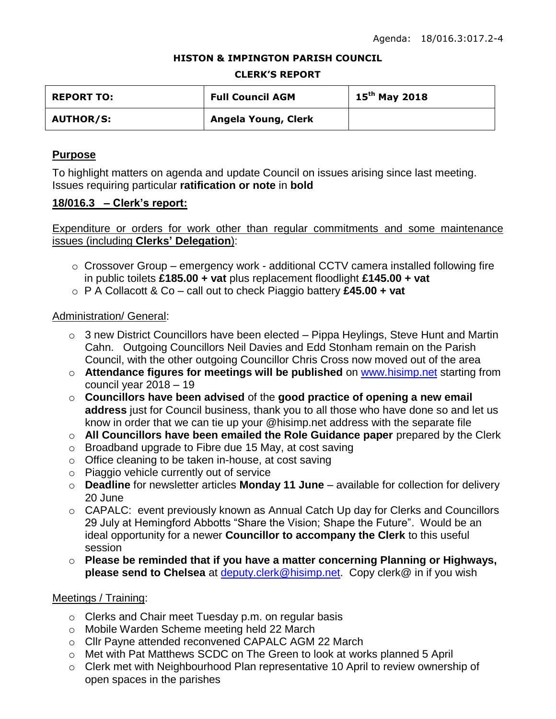### **HISTON & IMPINGTON PARISH COUNCIL**

#### **CLERK'S REPORT**

| <b>REPORT TO:</b> | <b>Full Council AGM</b> | $15^{th}$ May 2018 |
|-------------------|-------------------------|--------------------|
| <b>AUTHOR/S:</b>  | Angela Young, Clerk     |                    |

## **Purpose**

To highlight matters on agenda and update Council on issues arising since last meeting. Issues requiring particular **ratification or note** in **bold**

### **18/016.3 – Clerk's report:**

Expenditure or orders for work other than regular commitments and some maintenance issues (including **Clerks' Delegation**):

- o Crossover Group emergency work additional CCTV camera installed following fire in public toilets **£185.00 + vat** plus replacement floodlight **£145.00 + vat**
- o P A Collacott & Co call out to check Piaggio battery **£45.00 + vat**

### Administration/ General:

- $\circ$  3 new District Councillors have been elected Pippa Heylings, Steve Hunt and Martin Cahn. Outgoing Councillors Neil Davies and Edd Stonham remain on the Parish Council, with the other outgoing Councillor Chris Cross now moved out of the area
- o **Attendance figures for meetings will be published** on [www.hisimp.net](http://www.hisimp.net/) starting from council year 2018 – 19
- o **Councillors have been advised** of the **good practice of opening a new email address** just for Council business, thank you to all those who have done so and let us know in order that we can tie up your @hisimp.net address with the separate file
- o **All Councillors have been emailed the Role Guidance paper** prepared by the Clerk
- o Broadband upgrade to Fibre due 15 May, at cost saving
- o Office cleaning to be taken in-house, at cost saving
- o Piaggio vehicle currently out of service
- o **Deadline** for newsletter articles **Monday 11 June** available for collection for delivery 20 June
- $\circ$  CAPALC: event previously known as Annual Catch Up day for Clerks and Councillors 29 July at Hemingford Abbotts "Share the Vision; Shape the Future". Would be an ideal opportunity for a newer **Councillor to accompany the Clerk** to this useful session
- o **Please be reminded that if you have a matter concerning Planning or Highways, please send to Chelsea** at [deputy.clerk@hisimp.net.](mailto:deputy.clerk@hisimp.net) Copy clerk@ in if you wish

## Meetings / Training:

- o Clerks and Chair meet Tuesday p.m. on regular basis
- o Mobile Warden Scheme meeting held 22 March
- o Cllr Payne attended reconvened CAPALC AGM 22 March
- o Met with Pat Matthews SCDC on The Green to look at works planned 5 April
- o Clerk met with Neighbourhood Plan representative 10 April to review ownership of open spaces in the parishes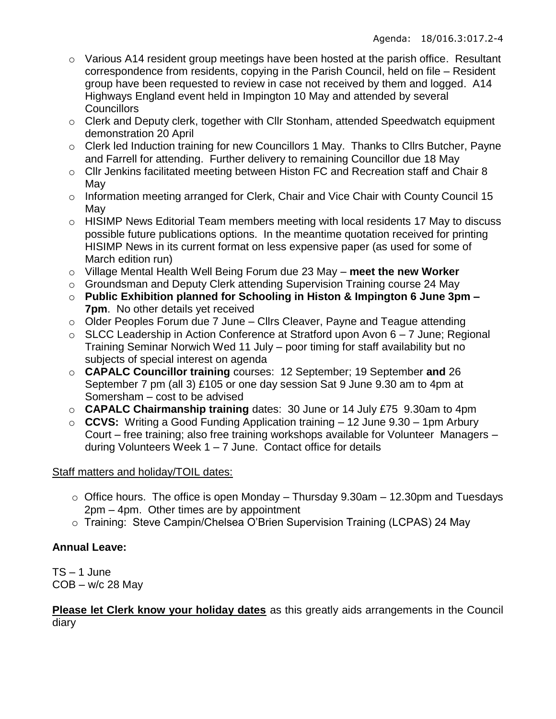- $\circ$  Various A14 resident group meetings have been hosted at the parish office. Resultant correspondence from residents, copying in the Parish Council, held on file – Resident group have been requested to review in case not received by them and logged. A14 Highways England event held in Impington 10 May and attended by several **Councillors**
- o Clerk and Deputy clerk, together with Cllr Stonham, attended Speedwatch equipment demonstration 20 April
- o Clerk led Induction training for new Councillors 1 May. Thanks to Cllrs Butcher, Payne and Farrell for attending. Further delivery to remaining Councillor due 18 May
- o Cllr Jenkins facilitated meeting between Histon FC and Recreation staff and Chair 8 May
- o Information meeting arranged for Clerk, Chair and Vice Chair with County Council 15 May
- o HISIMP News Editorial Team members meeting with local residents 17 May to discuss possible future publications options. In the meantime quotation received for printing HISIMP News in its current format on less expensive paper (as used for some of March edition run)
- o Village Mental Health Well Being Forum due 23 May **meet the new Worker**
- o Groundsman and Deputy Clerk attending Supervision Training course 24 May
- o **Public Exhibition planned for Schooling in Histon & Impington 6 June 3pm – 7pm**. No other details yet received
- $\circ$  Older Peoples Forum due 7 June Cllrs Cleaver, Payne and Teague attending
- $\circ$  SLCC Leadership in Action Conference at Stratford upon Avon 6 7 June; Regional Training Seminar Norwich Wed 11 July – poor timing for staff availability but no subjects of special interest on agenda
- o **CAPALC Councillor training** courses: 12 September; 19 September **and** 26 September 7 pm (all 3) £105 or one day session Sat 9 June 9.30 am to 4pm at Somersham – cost to be advised
- o **CAPALC Chairmanship training** dates: 30 June or 14 July £75 9.30am to 4pm
- o **CCVS:** Writing a Good Funding Application training 12 June 9.30 1pm Arbury Court – free training; also free training workshops available for Volunteer Managers – during Volunteers Week 1 – 7 June. Contact office for details

## Staff matters and holiday/TOIL dates:

- $\circ$  Office hours. The office is open Monday Thursday 9.30am 12.30pm and Tuesdays 2pm – 4pm. Other times are by appointment
- o Training: Steve Campin/Chelsea O'Brien Supervision Training (LCPAS) 24 May

# **Annual Leave:**

TS – 1 June  $COB - w/c$  28 May

**Please let Clerk know your holiday dates** as this greatly aids arrangements in the Council diary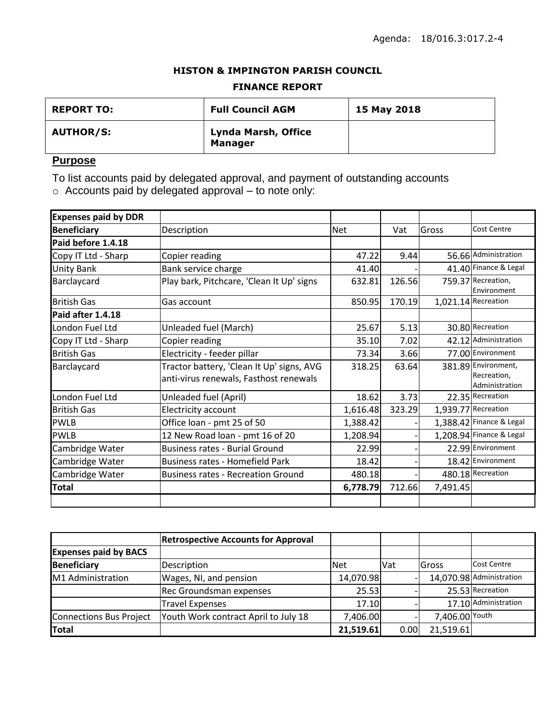### **HISTON & IMPINGTON PARISH COUNCIL**

### **FINANCE REPORT**

| <b>REPORT TO:</b> | <b>Full Council AGM</b>                      | 15 May 2018 |
|-------------------|----------------------------------------------|-------------|
| <b>AUTHOR/S:</b>  | <b>Lynda Marsh, Office</b><br><b>Manager</b> |             |

## **Purpose**

To list accounts paid by delegated approval, and payment of outstanding accounts

 $\circ$  Accounts paid by delegated approval – to note only:

| <b>Expenses paid by DDR</b> |                                           |            |        |          |                                   |
|-----------------------------|-------------------------------------------|------------|--------|----------|-----------------------------------|
| <b>Beneficiary</b>          | Description                               | <b>Net</b> | Vat    | Gross    | <b>Cost Centre</b>                |
| Paid before 1.4.18          |                                           |            |        |          |                                   |
| Copy IT Ltd - Sharp         | Copier reading                            | 47.22      | 9.44   |          | 56.66 Administration              |
| <b>Unity Bank</b>           | Bank service charge                       | 41.40      |        |          | 41.40 Finance & Legal             |
| Barclaycard                 | Play bark, Pitchcare, 'Clean It Up' signs | 632.81     | 126.56 |          | 759.37 Recreation,<br>Environment |
| <b>British Gas</b>          | Gas account                               | 850.95     | 170.19 |          | 1,021.14 Recreation               |
| Paid after 1.4.18           |                                           |            |        |          |                                   |
| London Fuel Ltd             | Unleaded fuel (March)                     | 25.67      | 5.13   |          | 30.80 Recreation                  |
| Copy IT Ltd - Sharp         | Copier reading                            | 35.10      | 7.02   |          | 42.12 Administration              |
| <b>British Gas</b>          | Electricity - feeder pillar               | 73.34      | 3.66   |          | 77.00 Environment                 |
| Barclaycard                 | Tractor battery, 'Clean It Up' signs, AVG | 318.25     | 63.64  |          | 381.89 Environment,               |
|                             | anti-virus renewals, Fasthost renewals    |            |        |          | Recreation,<br>Administration     |
| London Fuel Ltd             | Unleaded fuel (April)                     | 18.62      | 3.73   |          | 22.35 Recreation                  |
| <b>British Gas</b>          | Electricity account                       | 1,616.48   | 323.29 |          | 1,939.77 Recreation               |
| <b>PWLB</b>                 | Office loan - pmt 25 of 50                | 1,388.42   |        |          | 1,388.42 Finance & Legal          |
| <b>PWLB</b>                 | 12 New Road loan - pmt 16 of 20           | 1,208.94   |        |          | 1,208.94 Finance & Legal          |
| Cambridge Water             | <b>Business rates - Burial Ground</b>     | 22.99      |        |          | 22.99 Environment                 |
| Cambridge Water             | Business rates - Homefield Park           | 18.42      |        |          | 18.42 Environment                 |
| Cambridge Water             | <b>Business rates - Recreation Ground</b> | 480.18     |        |          | 480.18 Recreation                 |
| <b>Total</b>                |                                           | 6,778.79   | 712.66 | 7,491.45 |                                   |
|                             |                                           |            |        |          |                                   |

|                              | <b>Retrospective Accounts for Approval</b> |            |            |                |                          |
|------------------------------|--------------------------------------------|------------|------------|----------------|--------------------------|
| <b>Expenses paid by BACS</b> |                                            |            |            |                |                          |
| Beneficiary                  | Description                                | <b>Net</b> | <b>Vat</b> | <b>Gross</b>   | <b>Cost Centre</b>       |
| M1 Administration            | Wages, NI, and pension                     | 14,070.98  |            |                | 14,070.98 Administration |
|                              | Rec Groundsman expenses                    | 25.53      |            |                | 25.53 Recreation         |
|                              | <b>Travel Expenses</b>                     | 17.10      |            |                | 17.10 Administration     |
| Connections Bus Project      | Youth Work contract April to July 18       | 7,406.00   |            | 7,406.00 Youth |                          |
| Total                        |                                            | 21,519.61  | 0.00       | 21,519.61      |                          |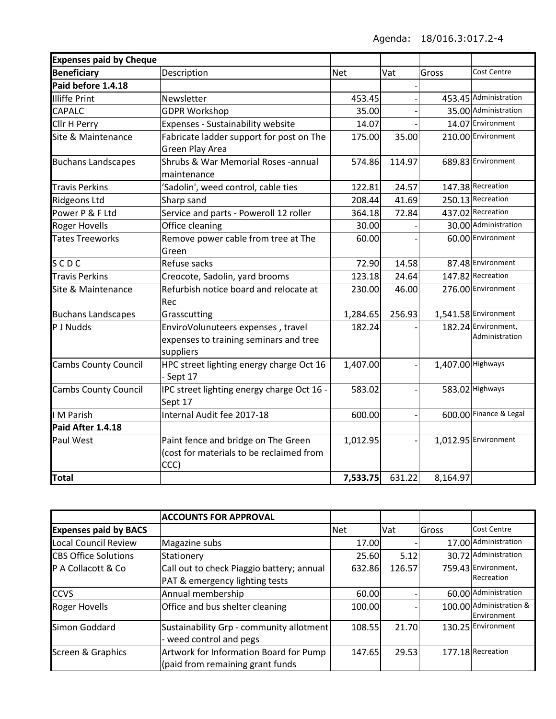| <b>Expenses paid by Cheque</b> |                                                                                           |            |        |                   |                                       |
|--------------------------------|-------------------------------------------------------------------------------------------|------------|--------|-------------------|---------------------------------------|
| <b>Beneficiary</b>             | Description                                                                               | <b>Net</b> | Vat    | Gross             | Cost Centre                           |
| Paid before 1.4.18             |                                                                                           |            |        |                   |                                       |
| <b>Illiffe Print</b>           | Newsletter                                                                                | 453.45     |        |                   | 453.45 Administration                 |
| <b>CAPALC</b>                  | <b>GDPR Workshop</b>                                                                      | 35.00      |        |                   | 35.00 Administration                  |
| Cllr H Perry                   | Expenses - Sustainability website                                                         | 14.07      |        |                   | 14.07 Environment                     |
| Site & Maintenance             | Fabricate ladder support for post on The<br>Green Play Area                               | 175.00     | 35.00  |                   | 210.00 Environment                    |
| <b>Buchans Landscapes</b>      | Shrubs & War Memorial Roses -annual<br>maintenance                                        | 574.86     | 114.97 |                   | 689.83 Environment                    |
| <b>Travis Perkins</b>          | 'Sadolin', weed control, cable ties                                                       | 122.81     | 24.57  |                   | 147.38 Recreation                     |
| <b>Ridgeons Ltd</b>            | Sharp sand                                                                                | 208.44     | 41.69  |                   | 250.13 Recreation                     |
| Power P & F Ltd                | Service and parts - Poweroll 12 roller                                                    | 364.18     | 72.84  |                   | 437.02 Recreation                     |
| <b>Roger Hovells</b>           | Office cleaning                                                                           | 30.00      |        |                   | 30.00 Administration                  |
| <b>Tates Treeworks</b>         | Remove power cable from tree at The<br>Green                                              | 60.00      |        |                   | 60.00 Environment                     |
| SCDC                           | Refuse sacks                                                                              | 72.90      | 14.58  |                   | 87.48 Environment                     |
| <b>Travis Perkins</b>          | Creocote, Sadolin, yard brooms                                                            | 123.18     | 24.64  |                   | 147.82 Recreation                     |
| Site & Maintenance             | Refurbish notice board and relocate at<br>Rec                                             | 230.00     | 46.00  |                   | 276.00 Environment                    |
| <b>Buchans Landscapes</b>      | Grasscutting                                                                              | 1,284.65   | 256.93 |                   | 1,541.58 Environment                  |
| P J Nudds                      | EnviroVolunuteers expenses, travel<br>expenses to training seminars and tree<br>suppliers | 182.24     |        |                   | 182.24 Environment,<br>Administration |
| <b>Cambs County Council</b>    | HPC street lighting energy charge Oct 16<br>- Sept 17                                     | 1,407.00   |        | 1,407.00 Highways |                                       |
| <b>Cambs County Council</b>    | IPC street lighting energy charge Oct 16 -<br>Sept 17                                     | 583.02     |        |                   | 583.02 Highways                       |
| I M Parish                     | Internal Audit fee 2017-18                                                                | 600.00     |        |                   | 600.00 Finance & Legal                |
| Paid After 1.4.18              |                                                                                           |            |        |                   |                                       |
| Paul West                      | Paint fence and bridge on The Green<br>(cost for materials to be reclaimed from<br>CCC)   | 1,012.95   |        |                   | 1,012.95 Environment                  |
| <b>Total</b>                   |                                                                                           | 7,533.75   | 631.22 | 8,164.97          |                                       |

|                              | <b>ACCOUNTS FOR APPROVAL</b>                                                |            |        |       |                                        |
|------------------------------|-----------------------------------------------------------------------------|------------|--------|-------|----------------------------------------|
| <b>Expenses paid by BACS</b> |                                                                             | <b>Net</b> | Vat    | Gross | <b>Cost Centre</b>                     |
| <b>Local Council Review</b>  | Magazine subs                                                               | 17.00      |        |       | 17.00 Administration                   |
| <b>CBS Office Solutions</b>  | Stationery                                                                  | 25.60      | 5.12   |       | 30.72 Administration                   |
| IP A Collacott & Co          | Call out to check Piaggio battery; annual<br>PAT & emergency lighting tests | 632.86     | 126.57 |       | 759.43 Environment,<br>Recreation      |
| <b>ICCVS</b>                 | Annual membership                                                           | 60.00      |        |       | 60.00 Administration                   |
| <b>Roger Hovells</b>         | Office and bus shelter cleaning                                             | 100.00     |        |       | 100.00 Administration &<br>Environment |
| Simon Goddard                | Sustainability Grp - community allotment<br>- weed control and pegs         | 108.55     | 21.70  |       | 130.25 Environment                     |
| Screen & Graphics            | Artwork for Information Board for Pump<br>(paid from remaining grant funds  | 147.65     | 29.53  |       | 177.18 Recreation                      |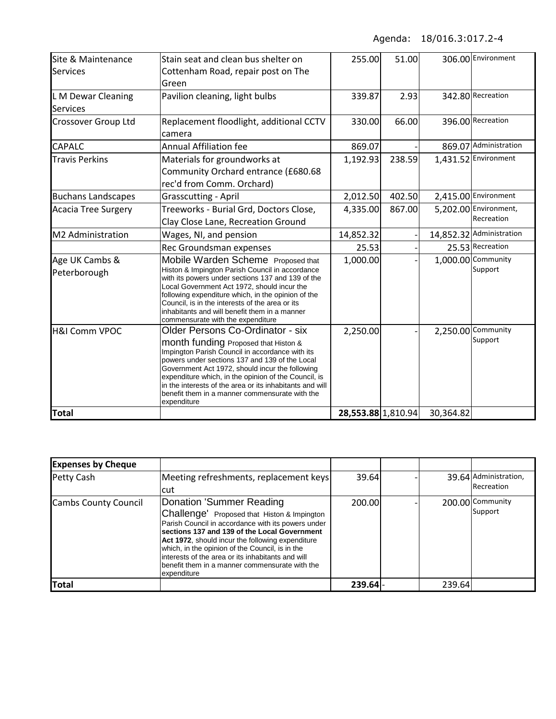| Site & Maintenance<br><b>Services</b> | Stain seat and clean bus shelter on<br>Cottenham Road, repair post on The                                                                                                                                                                                                                                                                                                                                             | 255.00             | 51.00  |           | 306.00 Environment                  |
|---------------------------------------|-----------------------------------------------------------------------------------------------------------------------------------------------------------------------------------------------------------------------------------------------------------------------------------------------------------------------------------------------------------------------------------------------------------------------|--------------------|--------|-----------|-------------------------------------|
|                                       | Green                                                                                                                                                                                                                                                                                                                                                                                                                 |                    |        |           |                                     |
| L M Dewar Cleaning<br><b>Services</b> | Pavilion cleaning, light bulbs                                                                                                                                                                                                                                                                                                                                                                                        | 339.87             | 2.93   |           | 342.80 Recreation                   |
| <b>Crossover Group Ltd</b>            | Replacement floodlight, additional CCTV<br>camera                                                                                                                                                                                                                                                                                                                                                                     | 330.00             | 66.00  |           | 396.00 Recreation                   |
| <b>CAPALC</b>                         | <b>Annual Affiliation fee</b>                                                                                                                                                                                                                                                                                                                                                                                         | 869.07             |        |           | 869.07 Administration               |
| <b>Travis Perkins</b>                 | Materials for groundworks at<br>Community Orchard entrance (£680.68<br>rec'd from Comm. Orchard)                                                                                                                                                                                                                                                                                                                      | 1,192.93           | 238.59 |           | 1,431.52 Environment                |
| <b>Buchans Landscapes</b>             | <b>Grasscutting - April</b>                                                                                                                                                                                                                                                                                                                                                                                           | 2,012.50           | 402.50 |           | 2,415.00 Environment                |
| Acacia Tree Surgery                   | Treeworks - Burial Grd, Doctors Close,<br>Clay Close Lane, Recreation Ground                                                                                                                                                                                                                                                                                                                                          | 4,335.00           | 867.00 |           | 5,202.00 Environment,<br>Recreation |
| M2 Administration                     | Wages, NI, and pension                                                                                                                                                                                                                                                                                                                                                                                                | 14,852.32          |        |           | 14,852.32 Administration            |
|                                       | Rec Groundsman expenses                                                                                                                                                                                                                                                                                                                                                                                               | 25.53              |        |           | 25.53 Recreation                    |
| Age UK Cambs &<br>Peterborough        | Mobile Warden Scheme Proposed that<br>Histon & Impington Parish Council in accordance<br>with its powers under sections 137 and 139 of the<br>Local Government Act 1972, should incur the<br>following expenditure which, in the opinion of the<br>Council, is in the interests of the area or its<br>inhabitants and will benefit them in a manner<br>commensurate with the expenditure                              | 1,000.00           |        |           | 1,000.00 Community<br>Support       |
| <b>H&amp;I Comm VPOC</b>              | Older Persons Co-Ordinator - six<br>month funding Proposed that Histon &<br>Impington Parish Council in accordance with its<br>powers under sections 137 and 139 of the Local<br>Government Act 1972, should incur the following<br>expenditure which, in the opinion of the Council, is<br>in the interests of the area or its inhabitants and will<br>benefit them in a manner commensurate with the<br>expenditure | 2,250.00           |        |           | 2,250.00 Community<br>Support       |
| <b>Total</b>                          |                                                                                                                                                                                                                                                                                                                                                                                                                       | 28,553.88 1,810.94 |        | 30,364.82 |                                     |

| <b>Expenses by Cheque</b>   |                                                                                                                                                                                                                                                                                                                                                                                                             |        |        |                                     |
|-----------------------------|-------------------------------------------------------------------------------------------------------------------------------------------------------------------------------------------------------------------------------------------------------------------------------------------------------------------------------------------------------------------------------------------------------------|--------|--------|-------------------------------------|
| Petty Cash                  | Meeting refreshments, replacement keys<br>cut                                                                                                                                                                                                                                                                                                                                                               | 39.64  |        | 39.64 Administration,<br>Recreation |
| <b>Cambs County Council</b> | Donation 'Summer Reading<br>Challenge' Proposed that Histon & Impington<br>Parish Council in accordance with its powers under<br>sections 137 and 139 of the Local Government<br>Act 1972, should incur the following expenditure<br>which, in the opinion of the Council, is in the<br>interests of the area or its inhabitants and will<br>Ibenefit them in a manner commensurate with the<br>expenditure | 200.00 |        | 200.00 Community<br>Support         |
| <b>Total</b>                |                                                                                                                                                                                                                                                                                                                                                                                                             | 239.64 | 239.64 |                                     |